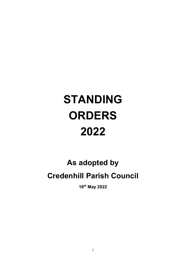# STANDING **ORDERS** 2022

# As adopted by Credenhill Parish Council

18th May 2022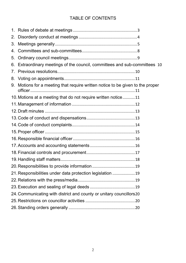# TABLE OF CONTENTS

| 2.                                                                   |                                                                             |
|----------------------------------------------------------------------|-----------------------------------------------------------------------------|
| 3.                                                                   |                                                                             |
| 4.                                                                   |                                                                             |
| 5.                                                                   |                                                                             |
| 6.                                                                   | Extraordinary meetings of the council, committees and sub-committees 10     |
| $7_{\scriptscriptstyle{\ddots}}$                                     |                                                                             |
|                                                                      |                                                                             |
| 9.                                                                   | Motions for a meeting that require written notice to be given to the proper |
|                                                                      | 10. Motions at a meeting that do not require written notice11               |
|                                                                      |                                                                             |
|                                                                      |                                                                             |
|                                                                      |                                                                             |
|                                                                      |                                                                             |
|                                                                      |                                                                             |
|                                                                      |                                                                             |
|                                                                      |                                                                             |
|                                                                      |                                                                             |
|                                                                      |                                                                             |
|                                                                      | 19                                                                          |
|                                                                      | 21. Responsibilities under data protection legislation  19                  |
|                                                                      |                                                                             |
|                                                                      |                                                                             |
| 24. Communicating with district and county or unitary councillors 20 |                                                                             |
|                                                                      |                                                                             |
|                                                                      |                                                                             |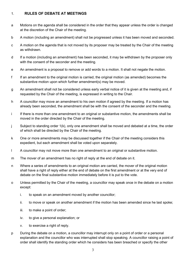# 1. RULES OF DEBATE AT MEETINGS

- a Motions on the agenda shall be considered in the order that they appear unless the order is changed at the discretion of the Chair of the meeting.
- b A motion (including an amendment) shall not be progressed unless it has been moved and seconded.
- c A motion on the agenda that is not moved by its proposer may be treated by the Chair of the meeting as withdrawn.
- d If a motion (including an amendment) has been seconded, it may be withdrawn by the proposer only with the consent of the seconder and the meeting.
- e An amendment is a proposal to remove or add words to a motion. It shall not negate the motion.
- f If an amendment to the original motion is carried, the original motion (as amended) becomes the substantive motion upon which further amendment(s) may be moved.
- g An amendment shall not be considered unless early verbal notice of it is given at the meeting and, if requested by the Chair of the meeting, is expressed in writing to the Chair.
- h A councillor may move an amendment to his own motion if agreed by the meeting. If a motion has already been seconded, the amendment shall be with the consent of the seconder and the meeting.
- i If there is more than one amendment to an original or substantive motion, the amendments shall be moved in the order directed by the Chair of the meeting.
- j Subject to standing order 1(k), only one amendment shall be moved and debated at a time, the order of which shall be directed by the Chair of the meeting.
- k One or more amendments may be discussed together if the Chair of the meeting considers this expedient, but each amendment shall be voted upon separately.
- l A councillor may not move more than one amendment to an original or substantive motion.
- m The mover of an amendment has no right of reply at the end of debate on it.
- n Where a series of amendments to an original motion are carried, the mover of the original motion shall have a right of reply either at the end of debate on the first amendment or at the very end of debate on the final substantive motion immediately before it is put to the vote.
- o Unless permitted by the Chair of the meeting, a councillor may speak once in the debate on a motion except:
	- i. to speak on an amendment moved by another councillor;
	- ii. to move or speak on another amendment if the motion has been amended since he last spoke;
	- iii. to make a point of order;
	- iv. to give a personal explanation; or
	- v. to exercise a right of reply.
- p During the debate on a motion, a councillor may interrupt only on a point of order or a personal explanation and the councillor who was interrupted shall stop speaking. A councillor raising a point of order shall identify the standing order which he considers has been breached or specify the other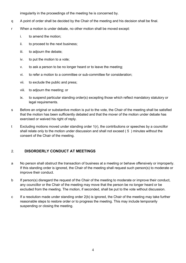irregularity in the proceedings of the meeting he is concerned by.

- q A point of order shall be decided by the Chair of the meeting and his decision shall be final.
- r When a motion is under debate, no other motion shall be moved except:
	- i. to amend the motion;
	- ii. to proceed to the next business;
	- iii. to adjourn the debate;
	- iv. to put the motion to a vote;
	- v. to ask a person to be no longer heard or to leave the meeting;
	- vi. to refer a motion to a committee or sub-committee for consideration;
	- vii. to exclude the public and press;
	- viii. to adjourn the meeting; or
	- ix. to suspend particular standing order(s) excepting those which reflect mandatory statutory or legal requirements.
- s Before an original or substantive motion is put to the vote, the Chair of the meeting shall be satisfied that the motion has been sufficiently debated and that the mover of the motion under debate has exercised or waived his right of reply.
- t Excluding motions moved under standing order 1(r), the contributions or speeches by a councillor shall relate only to the motion under discussion and shall not exceed ( 5 ) minutes without the consent of the Chair of the meeting.

# 2. DISORDERLY CONDUCT AT MEETINGS

- a No person shall obstruct the transaction of business at a meeting or behave offensively or improperly. If this standing order is ignored, the Chair of the meeting shall request such person(s) to moderate or improve their conduct.
- b If person(s) disregard the request of the Chair of the meeting to moderate or improve their conduct, any councillor or the Chair of the meeting may move that the person be no longer heard or be excluded from the meeting. The motion, if seconded, shall be put to the vote without discussion.
- c If a resolution made under standing order 2(b) is ignored, the Chair of the meeting may take further reasonable steps to restore order or to progress the meeting. This may include temporarily suspending or closing the meeting.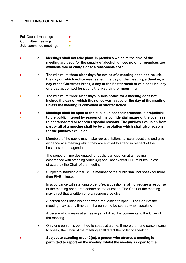# 3. MEETINGS GENERALLY

Full Council meetings Committee meetings Sub-committee meetings **•** 

- a Meetings shall not take place in premises which at the time of the meeting are used for the supply of alcohol, unless no other premises are available free of charge or at a reasonable cost.
- b The minimum three clear days for notice of a meeting does not include the day on which notice was issued, the day of the meeting, a Sunday, a day of the Christmas break, a day of the Easter break or of a bank holiday or a day appointed for public thanksgiving or mourning.
- c The minimum three clear days' public notice for a meeting does not include the day on which the notice was issued or the day of the meeting unless the meeting is convened at shorter notice
- ● d Meetings shall be open to the public unless their presence is prejudicial to the public interest by reason of the confidential nature of the business to be transacted or for other special reasons. The public's exclusion from part or all of a meeting shall be by a resolution which shall give reasons for the public's exclusion.
	- e Members of the public may make representations, answer questions and give evidence at a meeting which they are entitled to attend in respect of the business on the agenda.
	- f The period of time designated for public participation at a meeting in accordance with standing order 3(e) shall not exceed TEN minutes unless directed by the Chair of the meeting.
	- g Subject to standing order 3(f), a member of the public shall not speak for more than FIVE minutes.
	- h In accordance with standing order  $3(e)$ , a question shall not require a response at the meeting nor start a debate on the question. The Chair of the meeting may direct that a written or oral response be given.
	- i A person shall raise his hand when requesting to speak. The Chair of the meeting may at any time permit a person to be seated when speaking.
	- j A person who speaks at a meeting shall direct his comments to the Chair of the meeting.
	- k Only one person is permitted to speak at a time. If more than one person wants to speak, the Chair of the meeting shall direct the order of speaking.
	- I Subject to standing order 3(m), a person who attends a meeting is permitted to report on the meeting whilst the meeting is open to the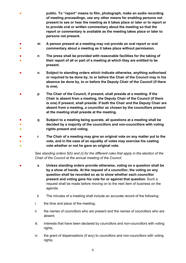- public. To "report" means to film, photograph, make an audio recording of meeting proceedings, use any other means for enabling persons not present to see or hear the meeting as it takes place or later or to report or to provide oral or written commentary about the meeting so that the report or commentary is available as the meeting takes place or later to persons not present.
- ● m A person present at a meeting may not provide an oral report or oral commentary about a meeting as it takes place without permission.
- ● n The press shall be provided with reasonable facilities for the taking of their report of all or part of a meeting at which they are entitled to be present.
- o Subject to standing orders which indicate otherwise, anything authorised or required to be done by, to or before the Chair of the Council may in his absence be done by, to or before the Deputy Chair of the Council (if there is one).
- p The Chair of the Council, if present, shall preside at a meeting. If the Chair is absent from a meeting, the Deputy Chair of the Council (if there is one) if present, shall preside. If both the Chair and the Deputy Chair are absent from a meeting, a councillor as chosen by the councillors present at the meeting shall preside at the meeting.
- ● **●** q Subject to a meeting being quorate, all questions at a meeting shall be decided by a majority of the councillors and non-councillors with voting rights present and voting.
- ● ● r The Chair of a meeting may give an original vote on any matter put to the vote, and in the case of an equality of votes may exercise his casting vote whether or not he gave an original vote.

See standing orders 5(h) and (i) for the different rules that apply in the election of the Chair of the Council at the annual meeting of the Council.

- s Unless standing orders provide otherwise, voting on a question shall be by a show of hands. At the request of a councillor, the voting on any question shall be recorded so as to show whether each councillor present and voting gave his vote for or against that question. Such a request shall be made before moving on to the next item of business on the agenda.
	- t The minutes of a meeting shall include an accurate record of the following:
	- i. the time and place of the meeting;
	- ii. the names of councillors who are present and the names of councillors who are absent;
	- iii. interests that have been declared by councillors and non-councillors with voting rights;
	- iv. the grant of dispensations (if any) to councillors and non-councillors with voting rights;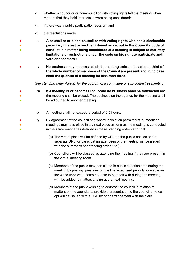- v. whether a councillor or non-councillor with voting rights left the meeting when matters that they held interests in were being considered;
- vi. if there was a public participation session; and
- vii. the resolutions made.
- ● ● u A councillor or a non-councillor with voting rights who has a disclosable pecuniary interest or another interest as set out in the Council's code of conduct in a matter being considered at a meeting is subject to statutory limitations or restrictions under the code on his right to participate and vote on that matter.
- v No business may be transacted at a meeting unless at least one-third of the whole number of members of the Council are present and in no case shall the quorum of a meeting be less than three.

See standing order 4d(viii) for the quorum of a committee or sub-committee meeting.

- ● ● w If a meeting is or becomes inquorate no business shall be transacted and the meeting shall be closed. The business on the agenda for the meeting shall be adjourned to another meeting.
	- **x** A meeting shall not exceed a period of 2.5 hours.
- ● ● y By agreement of the council and where legislation permits virtual meetings, meetings may take place in a virtual place as long as the meeting is conducted in the same manner as detailed in these standing orders and that;
	- (a) The virtual place will be defined by URL on the public notices and a separate URL for participating attendees of the meeting will be issued with the summons per standing order 15b(i).
	- (b) Councillors will be classed as attending the meeting if they are present in the virtual meeting room.
	- (c) Members of the public may participate in public question time during the meeting by posting questions on the live video feed publicly available on the world wide web. Items not able to be dealt with during the meeting with be added to matters arising at the next meeting.
	- (d) Members of the public wishing to address the council in relation to matters on the agenda, to provide a presentation to the council or to coopt will be issued with a URL by prior arrangement with the clerk.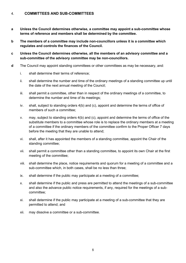# 4. COMMITTEES AND SUB-COMMITTEES

- a Unless the Council determines otherwise, a committee may appoint a sub-committee whose terms of reference and members shall be determined by the committee.
- b The members of a committee may include non-councillors unless it is a committee which regulates and controls the finances of the Council.
- c Unless the Council determines otherwise, all the members of an advisory committee and a sub-committee of the advisory committee may be non-councillors.
- d The Council may appoint standing committees or other committees as may be necessary, and:
	- i. shall determine their terms of reference;
	- ii. shall determine the number and time of the ordinary meetings of a standing committee up until the date of the next annual meeting of the Council;
	- iii. shall permit a committee, other than in respect of the ordinary meetings of a committee, to determine the number and time of its meetings;
	- iv. shall, subject to standing orders 4(b) and (c), appoint and determine the terms of office of members of such a committee;
	- v. may, subject to standing orders 4(b) and (c), appoint and determine the terms of office of the substitute members to a committee whose role is to replace the ordinary members at a meeting of a committee if the ordinary members of the committee confirm to the Proper Officer 7 days before the meeting that they are unable to attend;
	- vi. shall, after it has appointed the members of a standing committee, appoint the Chair of the standing committee;
	- vii. shall permit a committee other than a standing committee, to appoint its own Chair at the first meeting of the committee;
	- viii. shall determine the place, notice requirements and quorum for a meeting of a committee and a sub-committee which, in both cases, shall be no less than three;
	- ix. shall determine if the public may participate at a meeting of a committee;
	- x. shall determine if the public and press are permitted to attend the meetings of a sub-committee and also the advance public notice requirements, if any, required for the meetings of a subcommittee;
	- xi. shall determine if the public may participate at a meeting of a sub-committee that they are permitted to attend; and
	- xii. may dissolve a committee or a sub-committee.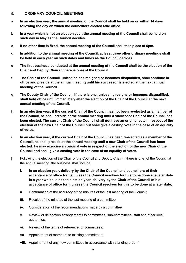#### 5. ORDINARY COUNCIL MEETINGS

- a In an election year, the annual meeting of the Council shall be held on or within 14 days following the day on which the councillors elected take office.
- b In a year which is not an election year, the annual meeting of the Council shall be held on such day in May as the Council decides.
- c If no other time is fixed, the annual meeting of the Council shall take place at 6pm.
- d In addition to the annual meeting of the Council, at least three other ordinary meetings shall be held in each year on such dates and times as the Council decides.
- e The first business conducted at the annual meeting of the Council shall be the election of the Chair and Deputy Chair (if there is one) of the Council.
- f The Chair of the Council, unless he has resigned or becomes disqualified, shall continue in office and preside at the annual meeting until his successor is elected at the next annual meeting of the Council.
- g The Deputy Chair of the Council, if there is one, unless he resigns or becomes disqualified, shall hold office until immediately after the election of the Chair of the Council at the next annual meeting of the Council.
- h In an election year, if the current Chair of the Council has not been re-elected as a member of the Council, he shall preside at the annual meeting until a successor Chair of the Council has been elected. The current Chair of the Council shall not have an original vote in respect of the election of the new Chair of the Council but shall give a casting vote in the case of an equality of votes.
- i In an election year, if the current Chair of the Council has been re-elected as a member of the Council, he shall preside at the annual meeting until a new Chair of the Council has been elected. He may exercise an original vote in respect of the election of the new Chair of the Council and shall give a casting vote in the case of an equality of votes.
- j Following the election of the Chair of the Council and Deputy Chair (if there is one) of the Council at the annual meeting, the business shall include:
	- i. In an election year, delivery by the Chair of the Council and councillors of their acceptance of office forms unless the Council resolves for this to be done at a later date. In a year which is not an election year, delivery by the Chair of the Council of his acceptance of office form unless the Council resolves for this to be done at a later date;
	- ii. Confirmation of the accuracy of the minutes of the last meeting of the Council;
	- iii. Receipt of the minutes of the last meeting of a committee;
	- iv. Consideration of the recommendations made by a committee;
	- v. Review of delegation arrangements to committees, sub-committees, staff and other local authorities;
	- vi. Review of the terms of reference for committees;
	- vii. Appointment of members to existing committees;
	- viii. Appointment of any new committees in accordance with standing order 4;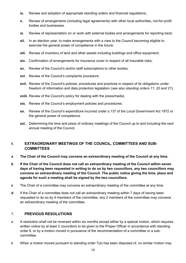- ix. Review and adoption of appropriate standing orders and financial regulations;
- x. Review of arrangements (including legal agreements) with other local authorities, not-for-profit bodies and businesses.
- xi. Review of representation on or work with external bodies and arrangements for reporting back;
- xii. In an election year, to make arrangements with a view to the Council becoming eligible to exercise the general power of competence in the future;
- xiii. Review of inventory of land and other assets including buildings and office equipment;
- xiv. Confirmation of arrangements for insurance cover in respect of all insurable risks;
- xv. Review of the Council's and/or staff subscriptions to other bodies;
- xvi. Review of the Council's complaints procedure;
- xvii. Review of the Council's policies, procedures and practices in respect of its obligations under freedom of information and data protection legislation (see also standing orders 11, 20 and 21);
- xviii. Review of the Council's policy for dealing with the press/media;
- xix. Review of the Council's employment policies and procedures;
- xx. Review of the Council's expenditure incurred under s.137 of the Local Government Act 1972 or the general power of competence.
- xxi. Determining the time and place of ordinary meetings of the Council up to and including the next annual meeting of the Council.

# 6. EXTRAORDINARY MEETINGS OF THE COUNCIL, COMMITTEES AND SUB-**COMMITTEES**

- a The Chair of the Council may convene an extraordinary meeting of the Council at any time.
- b If the Chair of the Council does not call an extraordinary meeting of the Council within seven days of having been requested in writing to do so by two councillors, any two councillors may convene an extraordinary meeting of the Council. The public notice giving the time, place and agenda for such a meeting shall be signed by the two councillors.
- c The Chair of a committee may convene an extraordinary meeting of the committee at any time.
- d If the Chair of a committee does not call an extraordinary meeting within 7 days of having been requested to do so by 4 members of the committee, any 2 members of the committee may convene an extraordinary meeting of the committee.

# 7. PREVIOUS RESOLUTIONS

- a A resolution shall not be reversed within six months except either by a special motion, which requires written notice by at least 2 councillors to be given to the Proper Officer in accordance with standing order 9, or by a motion moved in pursuance of the recommendation of a committee or a subcommittee.
- b When a motion moved pursuant to standing order 7(a) has been disposed of, no similar motion may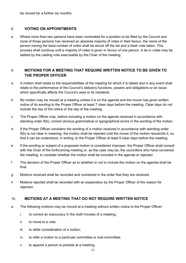be moved for a further six months.

# 8. VOTING ON APPOINTMENTS

a Where more than two persons have been nominated for a position to be filled by the Council and none of those persons has received an absolute majority of votes in their favour, the name of the person having the least number of votes shall be struck off the list and a fresh vote taken. This process shall continue until a majority of votes is given in favour of one person. A tie in votes may be settled by the casting vote exercisable by the Chair of the meeting.

# 9. MOTIONS FOR A MEETING THAT REQUIRE WRITTEN NOTICE TO BE GIVEN TO THE PROPER OFFICER

- a A motion shall relate to the responsibilities of the meeting for which it is tabled and in any event shall relate to the performance of the Council's statutory functions, powers and obligations or an issue which specifically affects the Council's area or its residents.
- b No motion may be moved at a meeting unless it is on the agenda and the mover has given written notice of its wording to the Proper Officer at least 7 clear days before the meeting. Clear days do not include the day of the notice or the day of the meeting.
- c The Proper Officer may, before including a motion on the agenda received in accordance with standing order 9(b), correct obvious grammatical or typographical errors in the wording of the motion.
- d If the Proper Officer considers the wording of a motion received in accordance with standing order 9(b) is not clear in meaning, the motion shall be rejected until the mover of the motion resubmits it, so that it can be understood, in writing, to the Proper Officer at least 5 clear days before the meeting.
- e If the wording or subject of a proposed motion is considered improper, the Proper Officer shall consult with the Chair of the forthcoming meeting or, as the case may be, the councillors who have convened the meeting, to consider whether the motion shall be included in the agenda or rejected.
- f The decision of the Proper Officer as to whether or not to include the motion on the agenda shall be final.
- g Motions received shall be recorded and numbered in the order that they are received.
- h Motions rejected shall be recorded with an explanation by the Proper Officer of the reason for rejection.

# 10. MOTIONS AT A MEETING THAT DO NOT REQUIRE WRITTEN NOTICE

- a The following motions may be moved at a meeting without written notice to the Proper Officer:
	- i. to correct an inaccuracy in the draft minutes of a meeting;
	- ii. to move to a vote;
	- iii. to defer consideration of a motion;
	- iv. to refer a motion to a particular committee or sub-committee;
	- v. to appoint a person to preside at a meeting;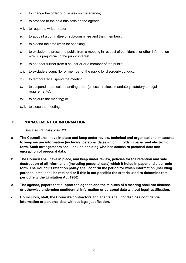- vi. to change the order of business on the agenda;
- vii. to proceed to the next business on the agenda;
- viii. to require a written report;
- ix. to appoint a committee or sub-committee and their members;
- x. to extend the time limits for speaking;
- xi. to exclude the press and public from a meeting in respect of confidential or other information which is prejudicial to the public interest;
- xii. to not hear further from a councillor or a member of the public;
- xiii. to exclude a councillor or member of the public for disorderly conduct;
- xiv. to temporarily suspend the meeting;
- xv. to suspend a particular standing order (unless it reflects mandatory statutory or legal requirements);
- xvi. to adjourn the meeting; or
- xvii. to close the meeting.

# 11. MANAGEMENT OF INFORMATION

#### See also standing order 20.

- a The Council shall have in place and keep under review, technical and organisational measures to keep secure information (including personal data) which it holds in paper and electronic form. Such arrangements shall include deciding who has access to personal data and encryption of personal data.
- b The Council shall have in place, and keep under review, policies for the retention and safe destruction of all information (including personal data) which it holds in paper and electronic form. The Council's retention policy shall confirm the period for which information (including personal data) shall be retained or if this is not possible the criteria used to determine that period (e.g. the Limitation Act 1980).
- c The agenda, papers that support the agenda and the minutes of a meeting shall not disclose or otherwise undermine confidential information or personal data without legal justification.
- d Councillors, staff, the Council's contractors and agents shall not disclose confidential information or personal data without legal justification.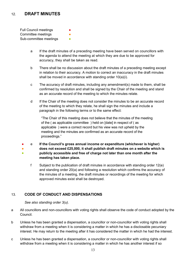# 12. DRAFT MINUTES

Full Council meetings **●** Committee meetings **•** Sub-committee meetings **•** 

- a If the draft minutes of a preceding meeting have been served on councillors with the agenda to attend the meeting at which they are due to be approved for accuracy, they shall be taken as read.
- b There shall be no discussion about the draft minutes of a preceding meeting except in relation to their accuracy. A motion to correct an inaccuracy in the draft minutes shall be moved in accordance with standing order 10(a)(i).
- c The accuracy of draft minutes, including any amendment(s) made to them, shall be confirmed by resolution and shall be signed by the Chair of the meeting and stand as an accurate record of the meeting to which the minutes relate.
- d If the Chair of the meeting does not consider the minutes to be an accurate record of the meeting to which they relate, he shall sign the minutes and include a paragraph in the following terms or to the same effect:

"The Chair of this meeting does not believe that the minutes of the meeting of the ( as applicable committee ) held on [date] in respect of ( as applicable ) were a correct record but his view was not upheld by the meeting and the minutes are confirmed as an accurate record of the proceedings."

- ● ● e If the Council's gross annual income or expenditure (whichever is higher) does not exceed £25,000, it shall publish draft minutes on a website which is publicly accessible and free of charge not later than one month after the meeting has taken place.
	- f Subject to the publication of draft minutes in accordance with standing order 12(e) and standing order 20(a) and following a resolution which confirms the accuracy of the minutes of a meeting, the draft minutes or recordings of the meeting for which approved minutes exist shall be destroyed.

# 13. CODE OF CONDUCT AND DISPENSATIONS

See also standing order 3(u).

- a All councillors and non-councillors with voting rights shall observe the code of conduct adopted by the Council.
- b Unless he has been granted a dispensation, a councillor or non-councillor with voting rights shall withdraw from a meeting when it is considering a matter in which he has a disclosable pecuniary interest. He may return to the meeting after it has considered the matter in which he had the interest.
- c Unless he has been granted a dispensation, a councillor or non-councillor with voting rights shall withdraw from a meeting when it is considering a matter in which he has another interest if so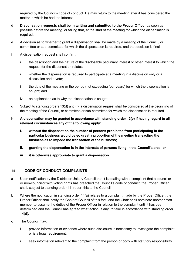required by the Council's code of conduct. He may return to the meeting after it has considered the matter in which he had the interest.

- d Dispensation requests shall be in writing and submitted to the Proper Officer as soon as possible before the meeting, or failing that, at the start of the meeting for which the dispensation is required.
- e A decision as to whether to grant a dispensation shall be made by a meeting of the Council, or committee or sub-committee for which the dispensation is required, and that decision is final.
- f A dispensation request shall confirm:
	- i. the description and the nature of the disclosable pecuniary interest or other interest to which the request for the dispensation relates;
	- ii. whether the dispensation is required to participate at a meeting in a discussion only or a discussion and a vote;
	- iii. the date of the meeting or the period (not exceeding four years) for which the dispensation is sought; and
	- iv. an explanation as to why the dispensation is sought.
- g Subject to standing orders 13(d) and (f), a dispensation request shall be considered at the beginning of the meeting of the Council, or committee or sub-committee for which the dispensation is required.
- h A dispensation may be granted in accordance with standing order 13(e) if having regard to all relevant circumstances any of the following apply:
	- i. without the dispensation the number of persons prohibited from participating in the particular business would be so great a proportion of the meeting transacting the business as to impede the transaction of the business;
	- ii. granting the dispensation is in the interests of persons living in the Council's area; or
	- iii. it is otherwise appropriate to grant a dispensation.

# 14. CODE OF CONDUCT COMPLAINTS

- a Upon notification by the District or Unitary Council that it is dealing with a complaint that a councillor or non-councillor with voting rights has breached the Council's code of conduct, the Proper Officer shall, subject to standing order 11, report this to the Council.
- **b** Where the notification in standing order 14(a) relates to a complaint made by the Proper Officer, the Proper Officer shall notify the Chair of Council of this fact, and the Chair shall nominate another staff member to assume the duties of the Proper Officer in relation to the complaint until it has been determined and the Council has agreed what action, if any, to take in accordance with standing order 14(d).
- c The Council may:
	- i. provide information or evidence where such disclosure is necessary to investigate the complaint or is a legal requirement;
	- ii. seek information relevant to the complaint from the person or body with statutory responsibility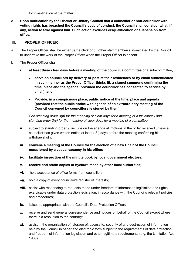for investigation of the matter;

d Upon notification by the District or Unitary Council that a councillor or non-councillor with voting rights has breached the Council's code of conduct, the Council shall consider what, if any, action to take against him. Such action excludes disqualification or suspension from office.

# 15. PROPER OFFICER

- a The Proper Officer shall be either (i) the clerk or (ii) other staff member(s) nominated by the Council to undertake the work of the Proper Officer when the Proper Officer is absent.
- b The Proper Officer shall:
	- i. at least three clear days before a meeting of the council, a committee or a sub-committee,
		- serve on councillors by delivery or post at their residences or by email authenticated in such manner as the Proper Officer thinks fit, a signed summons confirming the time, place and the agenda (provided the councillor has consented to service by email), and
		- Provide, in a conspicuous place, public notice of the time, place and agenda (provided that the public notice with agenda of an extraordinary meeting of the Council convened by councillors is signed by them).

See standing order 3(b) for the meaning of clear days for a meeting of a full council and standing order 3(c) for the meaning of clear days for a meeting of a committee;

- ii. subject to standing order 9, include on the agenda all motions in the order received unless a councillor has given written notice at least ( 3 ) days before the meeting confirming his withdrawal of it;
- iii. convene a meeting of the Council for the election of a new Chair of the Council, occasioned by a casual vacancy in his office;
- iv. facilitate inspection of the minute book by local government electors;
- v. receive and retain copies of byelaws made by other local authorities;
- vi. hold acceptance of office forms from councillors;
- vii. hold a copy of every councillor's register of interests;
- viii. assist with responding to requests made under freedom of information legislation and rights exercisable under data protection legislation, in accordance with the Council's relevant policies and procedures;
- ix. liaise, as appropriate, with the Council's Data Protection Officer;
- **x.** receive and send general correspondence and notices on behalf of the Council except where there is a resolution to the contrary;
- xi. assist in the organisation of, storage of, access to, security of and destruction of information held by the Council in paper and electronic form subject to the requirements of data protection and freedom of information legislation and other legitimate requirements (e.g. the Limitation Act 1980);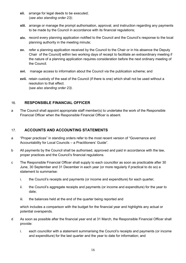- xii. arrange for legal deeds to be executed; (see also standing order 23);
- xiii. arrange or manage the prompt authorisation, approval, and instruction regarding any payments to be made by the Council in accordance with its financial regulations;
- xiv. record every planning application notified to the Council and the Council's response to the local planning authority in the meeting minute;
- xv. refer a planning application received by the Council to the Chair or in his absence the Deputy Chair of the Council] within two working days of receipt to facilitate an extraordinary meeting if the nature of a planning application requires consideration before the next ordinary meeting of the Council.
- xvi. manage access to information about the Council via the publication scheme; and
- xvii. retain custody of the seal of the Council (if there is one) which shall not be used without a resolution to that effect. (see also standing order 23).

# 16. RESPONSIBLE FINANCIAL OFFICER

a The Council shall appoint appropriate staff member(s) to undertake the work of the Responsible Financial Officer when the Responsible Financial Officer is absent.

# 17. ACCOUNTS AND ACCOUNTING STATEMENTS

- a "Proper practices" in standing orders refer to the most recent version of "Governance and Accountability for Local Councils – a Practitioners' Guide".
- b All payments by the Council shall be authorised, approved and paid in accordance with the law, proper practices and the Council's financial regulations.
- c The Responsible Financial Officer shall supply to each councillor as soon as practicable after 30 June, 30 September and 31 December in each year (or more regularly if practical to do so) a statement to summarise:
	- i. the Council's receipts and payments (or income and expenditure) for each quarter;
	- ii. the Council's aggregate receipts and payments (or income and expenditure) for the year to date;
	- iii. the balances held at the end of the quarter being reported and

which includes a comparison with the budget for the financial year and highlights any actual or potential overspends.

- d As soon as possible after the financial year end at 31 March, the Responsible Financial Officer shall provide:
	- i. each councillor with a statement summarising the Council's receipts and payments (or income and expenditure) for the last quarter and the year to date for information; and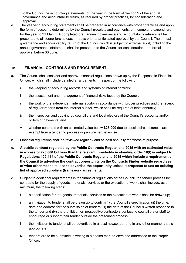to the Council the accounting statements for the year in the form of Section 2 of the annual governance and accountability return, as required by proper practices, for consideration and approval.

e The year-end accounting statements shall be prepared in accordance with proper practices and apply the form of accounts determined by the Council (receipts and payments, or income and expenditure) for the year to 31 March. A completed draft annual governance and accountability return shall be presented to all councillors at least 14 days prior to anticipated approval by the Council. The annual governance and accountability return of the Council, which is subject to external audit, including the annual governance statement, shall be presented to the Council for consideration and formal approval before 30 June.

# 18. FINANCIAL CONTROLS AND PROCUREMENT

- a. The Council shall consider and approve financial regulations drawn up by the Responsible Financial Officer, which shall include detailed arrangements in respect of the following:
	- i. the keeping of accounting records and systems of internal controls;
	- ii. the assessment and management of financial risks faced by the Council;
	- iii. the work of the independent internal auditor in accordance with proper practices and the receipt of regular reports from the internal auditor, which shall be required at least annually;
	- iv. the inspection and copying by councillors and local electors of the Council's accounts and/or orders of payments; and
	- v. whether contracts with an estimated value below £25,000 due to special circumstances are exempt from a tendering process or procurement exercise.
- b. Financial regulations shall be reviewed regularly and at least annually for fitness of purpose.
- c. A public contract regulated by the Public Contracts Regulations 2015 with an estimated value in excess of £25,000 but less than the relevant thresholds in standing order 18(f) is subject to Regulations 109-114 of the Public Contracts Regulations 2015 which include a requirement on the Council to advertise the contract opportunity on the Contracts Finder website regardless of what other means it uses to advertise the opportunity unless it proposes to use an existing list of approved suppliers (framework agreement).
- d. Subject to additional requirements in the financial regulations of the Council, the tender process for contracts for the supply of goods, materials, services or the execution of works shall include, as a minimum, the following steps:
	- i. a specification for the goods, materials, services or the execution of works shall be drawn up;
	- ii. an invitation to tender shall be drawn up to confirm (i) the Council's specification (ii) the time, date and address for the submission of tenders (iii) the date of the Council's written response to the tender and (iv) the prohibition on prospective contractors contacting councillors or staff to encourage or support their tender outside the prescribed process;
	- iii. the invitation to tender shall be advertised in a local newspaper and in any other manner that is appropriate;
	- iv. tenders are to be submitted in writing in a sealed marked envelope addressed to the Proper Officer;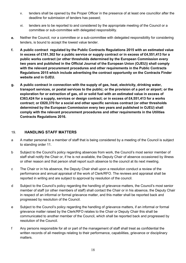- v. tenders shall be opened by the Proper Officer in the presence of at least one councillor after the deadline for submission of tenders has passed;
- vi. tenders are to be reported to and considered by the appropriate meeting of the Council or a committee or sub-committee with delegated responsibility.
- e. Neither the Council, nor a committee or a sub-committee with delegated responsibility for considering tenders, is bound to accept the lowest value tender.
- f. A public contract regulated by the Public Contracts Regulations 2015 with an estimated value in excess of £181,302 for a public service or supply contract or in excess of £4,551,413 for a public works contract (or other thresholds determined by the European Commission every two years and published in the Official Journal of the European Union (OJEU)) shall comply with the relevant procurement procedures and other requirements in the Public Contracts Regulations 2015 which include advertising the contract opportunity on the Contracts Finder website and in OJEU.
- g. A public contract in connection with the supply of gas, heat, electricity, drinking water, transport services, or postal services to the public; or the provision of a port or airport; or the exploration for or extraction of gas, oil or solid fuel with an estimated value in excess of £363,424 for a supply, services or design contract; or in excess of £4,551,413 for a works contract; or £820,370 for a social and other specific services contract (or other thresholds determined by the European Commission every two years and published in OJEU) shall comply with the relevant procurement procedures and other requirements in the Utilities Contracts Regulations 2016.

# 19. HANDLING STAFF MATTERS

- a A matter personal to a member of staff that is being considered by a meeting of the Council is subject to standing order 11.
- b Subject to the Council's policy regarding absences from work, the Council's most senior member of staff shall notify the Chair or, if he is not available, the Deputy Chair of absence occasioned by illness or other reason and that person shall report such absence to the council at its next meeting.
- c The Chair or in his absence, the Deputy Chair shall upon a resolution conduct a review of the performance and annual appraisal of the work of Clerk/RFO. The reviews and appraisal shall be reported in writing and are subject to approval by resolution of the council.
- d Subject to the Council's policy regarding the handling of grievance matters, the Council's most senior member of staff (or other members of staff) shall contact the Chair or in his absence, the Deputy Chair in respect of an informal or formal grievance matter, and this matter shall be reported back and progressed by resolution of the Council.
- e Subject to the Council's policy regarding the handling of grievance matters, if an informal or formal grievance matter raised by the Clerk/RFO relates to the Chair or Deputy Chair this shall be communicated to another member of the Council, which shall be reported back and progressed by resolution of the Council.
- f Any persons responsible for all or part of the management of staff shall treat as confidential the written records of all meetings relating to their performance, capabilities, grievance or disciplinary matters.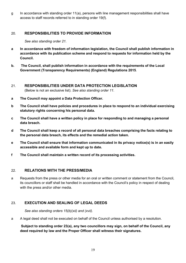$g$  In accordance with standing order 11(a), persons with line management responsibilities shall have access to staff records referred to in standing order 19(f).

# 20. RESPONSIBILITIES TO PROVIDE INFORMATION

See also standing order 21.

- a In accordance with freedom of information legislation, the Council shall publish information in accordance with its publication scheme and respond to requests for information held by the Council.
- b. The Council, shall publish information in accordance with the requirements of the Local Government (Transparency Requirements) (England) Regulations 2015.
- 21. RESPONSIBILITIES UNDER DATA PROTECTION LEGISLATION (Below is not an exclusive list). See also standing order 11.
- a The Council may appoint a Data Protection Officer.
- b The Council shall have policies and procedures in place to respond to an individual exercising statutory rights concerning his personal data.
- c The Council shall have a written policy in place for responding to and managing a personal data breach.
- d The Council shall keep a record of all personal data breaches comprising the facts relating to the personal data breach, its effects and the remedial action taken.
- e The Council shall ensure that information communicated in its privacy notice(s) is in an easily accessible and available form and kept up to date.
- f The Council shall maintain a written record of its processing activities.

# 22. RELATIONS WITH THE PRESS/MEDIA

a Requests from the press or other media for an oral or written comment or statement from the Council, its councillors or staff shall be handled in accordance with the Council's policy in respect of dealing with the press and/or other media.

# 23. EXECUTION AND SEALING OF LEGAL DEEDS

See also standing orders 15(b)(xii) and (xvii).

a A legal deed shall not be executed on behalf of the Council unless authorised by a resolution.

# Subject to standing order 23(a), any two councillors may sign, on behalf of the Council, any deed required by law and the Proper Officer shall witness their signatures.